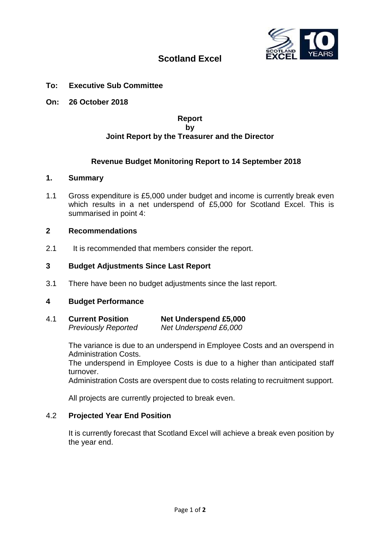

# **Scotland Excel**

# **To: Executive Sub Committee**

**On: 26 October 2018**

# **Report by Joint Report by the Treasurer and the Director**

# **Revenue Budget Monitoring Report to 14 September 2018**

# **1. Summary**

1.1 Gross expenditure is £5,000 under budget and income is currently break even which results in a net underspend of £5,000 for Scotland Excel. This is summarised in point 4:

# **2 Recommendations**

2.1 It is recommended that members consider the report.

### **3 Budget Adjustments Since Last Report**

3.1 There have been no budget adjustments since the last report.

### **4 Budget Performance**

| 4.1 | <b>Current Position</b>    | <b>Net Underspend £5,000</b> |  |  |  |  |
|-----|----------------------------|------------------------------|--|--|--|--|
|     | <b>Previously Reported</b> | Net Underspend £6,000        |  |  |  |  |

The variance is due to an underspend in Employee Costs and an overspend in Administration Costs.

The underspend in Employee Costs is due to a higher than anticipated staff turnover.

Administration Costs are overspent due to costs relating to recruitment support.

All projects are currently projected to break even.

### 4.2 **Projected Year End Position**

It is currently forecast that Scotland Excel will achieve a break even position by the year end.